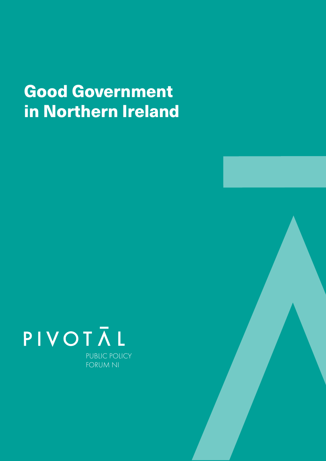## Good Government in Northern Ireland



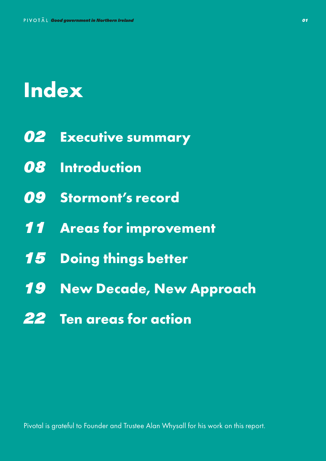# **Index**

- *02* **Executive summary**
- *08* **Introduction**
- *09* **Stormont's record**
- *11* **Areas for improvement**
- *15* **Doing things better**
- *19* **New Decade, New Approach**
- *22* **Ten areas for action**

Pivotal is grateful to Founder and Trustee Alan Whysall for his work on this report.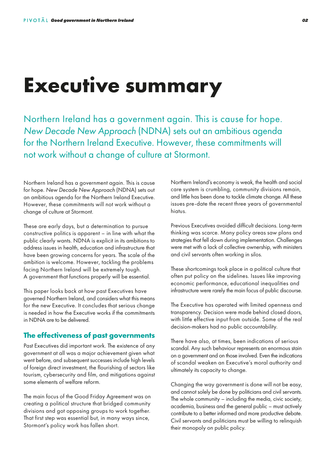## **Executive summary**

Northern Ireland has a government again. This is cause for hope. *New Decade New Approach* (NDNA) sets out an ambitious agenda for the Northern Ireland Executive. However, these commitments will not work without a change of culture at Stormont.

Northern Ireland has a government again. This is cause for hope. *New Decade New Approach* (NDNA) sets out an ambitious agenda for the Northern Ireland Executive. However, these commitments will not work without a change of culture at Stormont.

These are early days, but a determination to pursue constructive politics is apparent – in line with what the public clearly wants. NDNA is explicit in its ambitions to address issues in health, education and infrastructure that have been growing concerns for years. The scale of the ambition is welcome. However, tackling the problems facing Northern Ireland will be extremely tough. A government that functions properly will be essential.

This paper looks back at how past Executives have governed Northern Ireland, and considers what this means for the new Executive. It concludes that serious change is needed in how the Executive works if the commitments in NDNA are to be delivered.

### **The effectiveness of past governments**

Past Executives did important work. The existence of any government at all was a major achievement given what went before, and subsequent successes include high levels of foreign direct investment, the flourishing of sectors like tourism, cybersecurity and film, and mitigations against some elements of welfare reform.

The main focus of the Good Friday Agreement was on creating a political structure that bridged community divisions and got opposing groups to work together. That first step was essential but, in many ways since, Stormont's policy work has fallen short.

Northern Ireland's economy is weak, the health and social care system is crumbling, community divisions remain, and little has been done to tackle climate change. All these issues pre-date the recent three years of governmental hiatus.

Previous Executives avoided difficult decisions. Long-term thinking was scarce. Many policy areas saw plans and strategies that fell down during implementation. Challenges were met with a lack of collective ownership, with ministers and civil servants often working in silos.

These shortcomings took place in a political culture that often put policy on the sidelines. Issues like improving economic performance, educational inequalities and infrastructure were rarely the main focus of public discourse.

The Executive has operated with limited openness and transparency. Decision were made behind closed doors, with little effective input from outside. Some of the real decision-makers had no public accountability.

There have also, at times, been indications of serious scandal. Any such behaviour represents an enormous stain on a government and on those involved. Even the indications of scandal weaken an Executive's moral authority and ultimately its capacity to change.

Changing the way government is done will not be easy, and cannot solely be done by politicians and civil servants. The whole community – including the media, civic society, academia, business and the general public – must actively contribute to a better informed and more productive debate. Civil servants and politicians must be willing to relinquish their monopoly on public policy.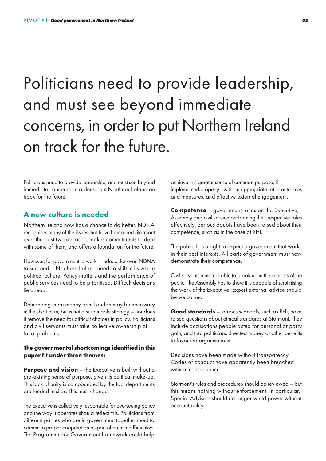## Politicians need to provide leadership, and must see beyond immediate concerns, in order to put Northern Ireland on track for the future.

Politicians need to provide leadership, and must see beyond immediate concerns, in order to put Northern Ireland on track for the future.

### **A new culture is needed**

Northern Ireland now has a chance to do better. NDNA recognises many of the issues that have hampered Stormont over the past two decades, makes commitments to deal with some of them, and offers a foundation for the future.

However, for government to work – indeed, for even NDNA to succeed – Northern Ireland needs a shift in its whole political culture. Policy matters and the performance of public services need to be prioritised. Difficult decisions lie ahead.

Demanding more money from London may be necessary in the short term, but is not a sustainable strategy – nor does it remove the need for difficult choices in policy. Politicians and civil servants must take collective ownership of local problems.

### **The governmental shortcomings identified in this paper fit under three themes:**

**Purpose and vision** – the Executive is built without a pre-existing sense of purpose, given its political make-up. This lack of unity is compounded by the fact departments are funded in silos. This must change.

The Executive is collectively responsible for overseeing policy and the way it operates should reflect this. Politicians from different parties who are in government together need to commit to proper cooperation as part of a unified Executive. The Programme for Government framework could help

achieve this greater sense of common purpose, if implemented properly - with an appropriate set of outcomes and measures, and effective external engagement.

**Competence** – government relies on the Executive, Assembly and civil service performing their respective roles effectively. Serious doubts have been raised about their competence, such as in the case of RHI.

The public has a right to expect a government that works in their best interests. All parts of government must now demonstrate their competence.

Civil servants must feel able to speak up in the interests of the public. The Assembly has to show it is capable of scrutinising the work of the Executive. Expert external advice should be welcomed.

**Good standards** – various scandals, such as RHI, have raised questions about ethical standards at Stormont. They include accusations people acted for personal or party gain, and that politicians directed money or other benefits to favoured organisations.

Decisions have been made without transparency. Codes of conduct have apparently been breached without consequence.

Stormont's rules and procedures should be reviewed – but this means nothing without enforcement. In particular, Special Advisors should no longer wield power without accountability.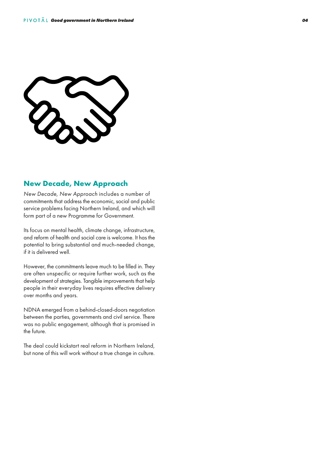

### **New Decade, New Approach**

*New Decade, New Approach* includes a number of commitments that address the economic, social and public service problems facing Northern Ireland, and which will form part of a new Programme for Government.

Its focus on mental health, climate change, infrastructure, and reform of health and social care is welcome. It has the potential to bring substantial and much-needed change, if it is delivered well.

However, the commitments leave much to be filled in. They are often unspecific or require further work, such as the development of strategies. Tangible improvements that help people in their everyday lives requires effective delivery over months and years.

NDNA emerged from a behind-closed-doors negotiation between the parties, governments and civil service. There was no public engagement, although that is promised in the future.

The deal could kickstart real reform in Northern Ireland, but none of this will work without a true change in culture.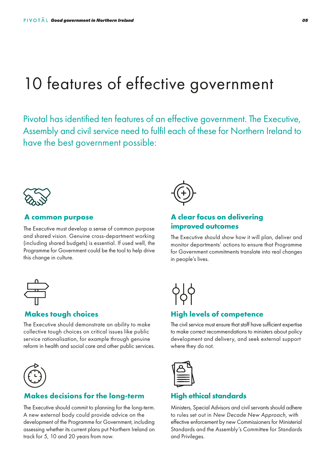### 10 features of effective government

Pivotal has identified ten features of an effective government. The Executive, Assembly and civil service need to fulfil each of these for Northern Ireland to have the best government possible:



### **A common purpose**

The Executive must develop a sense of common purpose and shared vision. Genuine cross-department working (including shared budgets) is essential. If used well, the Programme for Government could be the tool to help drive this change in culture.



### **Makes tough choices**

The Executive should demonstrate an ability to make collective tough choices on critical issues like public service rationalisation, for example through genuine reform in health and social care and other public services.



### **Makes decisions for the long-term**

The Executive should commit to planning for the long-term. A new external body could provide advice on the development of the Programme for Government, including assessing whether its current plans put Northern Ireland on track for 5, 10 and 20 years from now.



### **A clear focus on delivering improved outcomes**

The Executive should show how it will plan, deliver and monitor departments' actions to ensure that Programme for Government commitments translate into real changes in people's lives.



### **High levels of competence**

The civil service must ensure that staff have sufficient expertise to make correct recommendations to ministers about policy development and delivery, and seek external support where they do not.



### **High ethical standards**

Ministers, Special Advisors and civil servants should adhere to rules set out in *New Decade New Approach*, with effective enforcement by new Commissioners for Ministerial Standards and the Assembly's Committee for Standards and Privileges.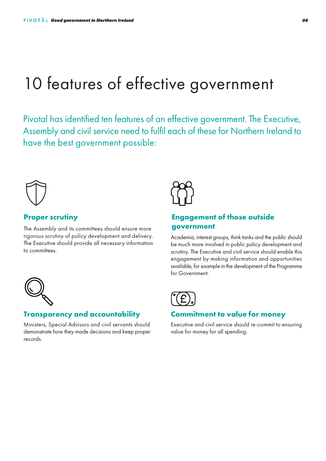### 10 features of effective government

Pivotal has identified ten features of an effective government. The Executive, Assembly and civil service need to fulfil each of these for Northern Ireland to have the best government possible:



### **Proper scrutiny**

The Assembly and its committees should ensure more rigorous scrutiny of policy development and delivery. The Executive should provide all necessary information to committees.



### **Engagement of those outside government**

Academia, interest groups, think tanks and the public should be much more involved in public policy development and scrutiny. The Executive and civil service should enable this engagement by making information and opportunities available, for example in the development of the Programme for Government.



### **Transparency and accountability**

Ministers, Special Advisors and civil servants should demonstrate how they made decisions and keep proper records.



### **Commitment to value for money**

Executive and civil service should re-commit to ensuring value for money for all spending.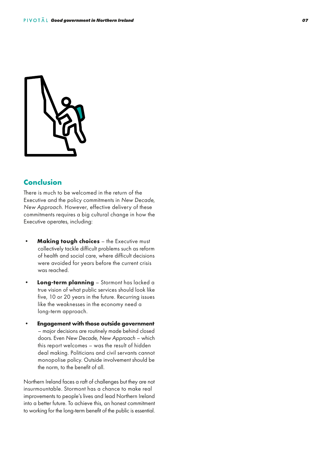

### **Conclusion**

There is much to be welcomed in the return of the Executive and the policy commitments in *New Decade, New Approach*. However, effective delivery of these commitments requires a big cultural change in how the Executive operates, including:

- **Making tough choices**  the Executive must collectively tackle difficult problems such as reform of health and social care, where difficult decisions were avoided for years before the current crisis was reached.
- **Long-term planning**  Stormont has lacked a true vision of what public services should look like five, 10 or 20 years in the future. Recurring issues like the weaknesses in the economy need a long-term approach.
- **Engagement with those outside government** – major decisions are routinely made behind closed doors. Even *New Decade, New Approach* – which this report welcomes – was the result of hidden deal making. Politicians and civil servants cannot monopolise policy. Outside involvement should be the norm, to the benefit of all.

Northern Ireland faces a raft of challenges but they are not insurmountable. Stormont has a chance to make real improvements to people's lives and lead Northern Ireland into a better future. To achieve this, an honest commitment to working for the long-term benefit of the public is essential.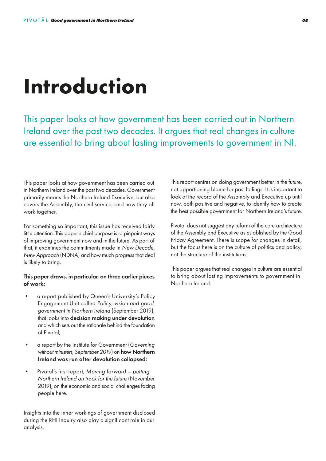# **Introduction**

This paper looks at how government has been carried out in Northern Ireland over the past two decades. It argues that real changes in culture are essential to bring about lasting improvements to government in NI.

This paper looks at how government has been carried out in Northern Ireland over the past two decades. Government primarily means the Northern Ireland Executive, but also covers the Assembly, the civil service, and how they all work together.

For something so important, this issue has received fairly little attention. This paper's chief purpose is to pinpoint ways of improving government now and in the future. As part of that, it examines the commitments made in *New Decade, New Approach* (NDNA) and how much progress that deal is likely to bring.

#### This paper draws, in particular, on three earlier pieces of work:

- a report published by Queen's University's Policy Engagement Unit called *Policy, vision and good government in Northern Ireland* (September 2019), that looks into decision making under devolution and which sets out the rationale behind the foundation of Pivotal;
- a report by the Institute for Government (*Governing* without ministers, September 2019) on **how Northern** Ireland was run after devolution collapsed;
- Pivotal's first report, *Moving forward putting Northern Ireland on track for the future* (November 2019), on the economic and social challenges facing people here.

Insights into the inner workings of government disclosed during the RHI Inquiry also play a significant role in our analysis.

This report centres on doing government better in the future, not apportioning blame for past failings. It is important to look at the record of the Assembly and Executive up until now, both positive and negative, to identify how to create the best possible government for Northern Ireland's future.

Pivotal does not suggest any reform of the core architecture of the Assembly and Executive as established by the Good Friday Agreement. There is scope for changes in detail, but the focus here is on the culture of politics and policy, not the structure of the institutions.

This paper argues that real changes in culture are essential to bring about lasting improvements to government in Northern Ireland.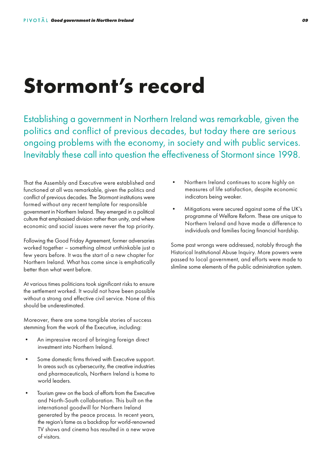## **Stormont's record**

Establishing a government in Northern Ireland was remarkable, given the politics and conflict of previous decades, but today there are serious ongoing problems with the economy, in society and with public services. Inevitably these call into question the effectiveness of Stormont since 1998.

That the Assembly and Executive were established and functioned at all was remarkable, given the politics and conflict of previous decades. The Stormont institutions were formed without any recent template for responsible government in Northern Ireland. They emerged in a political culture that emphasised division rather than unity, and where economic and social issues were never the top priority.

Following the Good Friday Agreement, former adversaries worked together – something almost unthinkable just a few years before. It was the start of a new chapter for Northern Ireland. What has come since is emphatically better than what went before.

At various times politicians took significant risks to ensure the settlement worked. It would not have been possible without a strong and effective civil service. None of this should be underestimated.

Moreover, there are some tangible stories of success stemming from the work of the Executive, including:

- An impressive record of bringing foreign direct investment into Northern Ireland.
- Some domestic firms thrived with Executive support. In areas such as cybersecurity, the creative industries and pharmaceuticals, Northern Ireland is home to world leaders.
- Tourism grew on the back of efforts from the Executive and North-South collaboration. This built on the international goodwill for Northern Ireland generated by the peace process. In recent years, the region's fame as a backdrop for world-renowned TV shows and cinema has resulted in a new wave of visitors.
- Northern Ireland continues to score highly on measures of life satisfaction, despite economic indicators being weaker.
- Mitigations were secured against some of the UK's programme of Welfare Reform. These are unique to Northern Ireland and have made a difference to individuals and families facing financial hardship.

Some past wrongs were addressed, notably through the Historical Institutional Abuse Inquiry. More powers were passed to local government, and efforts were made to slimline some elements of the public administration system.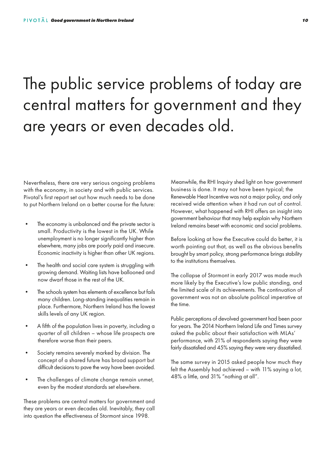## The public service problems of today are central matters for government and they are years or even decades old.

Nevertheless, there are very serious ongoing problems with the economy, in society and with public services. Pivotal's first report set out how much needs to be done to put Northern Ireland on a better course for the future:

- The economy is unbalanced and the private sector is small. Productivity is the lowest in the UK. While unemployment is no longer significantly higher than elsewhere, many jobs are poorly paid and insecure. Economic inactivity is higher than other UK regions.
- The health and social care system is struggling with growing demand. Waiting lists have ballooned and now dwarf those in the rest of the UK.
- The schools system has elements of excellence but fails many children. Long-standing inequalities remain in place. Furthermore, Northern Ireland has the lowest skills levels of any UK region.
- A fifth of the population lives in poverty, including a quarter of all children – whose life prospects are therefore worse than their peers.
- Society remains severely marked by division. The concept of a shared future has broad support but difficult decisions to pave the way have been avoided.
- The challenges of climate change remain unmet, even by the modest standards set elsewhere.

These problems are central matters for government and they are years or even decades old. Inevitably, they call into question the effectiveness of Stormont since 1998.

Meanwhile, the RHI Inquiry shed light on how government business is done. It may not have been typical; the Renewable Heat Incentive was not a major policy, and only received wide attention when it had run out of control. However, what happened with RHI offers an insight into government behaviour that may help explain why Northern Ireland remains beset with economic and social problems.

Before looking at how the Executive could do better, it is worth pointing out that, as well as the obvious benefits brought by smart policy, strong performance brings stability to the institutions themselves.

The collapse of Stormont in early 2017 was made much more likely by the Executive's low public standing, and the limited scale of its achievements. The continuation of government was not an absolute political imperative at the time.

Public perceptions of devolved government had been poor for years. The 2014 Northern Ireland Life and Times survey asked the public about their satisfaction with MLAs' performance, with 21% of respondents saying they were fairly dissatisfied and 45% saying they were very dissatisfied.

The same survey in 2015 asked people how much they felt the Assembly had achieved – with 11% saying a lot, 48% a little, and 31% "nothing at all".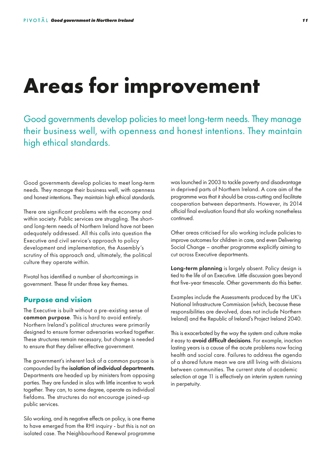# **Areas for improvement**

Good governments develop policies to meet long-term needs. They manage their business well, with openness and honest intentions. They maintain high ethical standards.

Good governments develop policies to meet long-term needs. They manage their business well, with openness and honest intentions. They maintain high ethical standards.

There are significant problems with the economy and within society. Public services are struggling. The shortand long-term needs of Northern Ireland have not been adequately addressed. All this calls into question the Executive and civil service's approach to policy development and implementation, the Assembly's scrutiny of this approach and, ultimately, the political culture they operate within.

Pivotal has identified a number of shortcomings in government. These fit under three key themes.

### **Purpose and vision**

The Executive is built without a pre-existing sense of common purpose. This is hard to avoid entirely. Northern Ireland's political structures were primarily designed to ensure former adversaries worked together. These structures remain necessary, but change is needed to ensure that they deliver effective government.

The government's inherent lack of a common purpose is compounded by the isolation of individual departments. Departments are headed up by ministers from opposing parties. They are funded in silos with little incentive to work together. They can, to some degree, operate as individual fiefdoms. The structures do not encourage joined-up public services.

Silo working, and its negative effects on policy, is one theme to have emerged from the RHI inquiry - but this is not an isolated case. The Neighbourhood Renewal programme

was launched in 2003 to tackle poverty and disadvantage in deprived parts of Northern Ireland. A core aim of the programme was that it should be cross-cutting and facilitate cooperation between departments. However, its 2014 official final evaluation found that silo working nonetheless continued.

Other areas criticised for silo working include policies to improve outcomes for children in care, and even Delivering Social Change – another programme explicitly aiming to cut across Executive departments.

Long-term planning is largely absent. Policy design is tied to the life of an Executive. Little discussion goes beyond that five-year timescale. Other governments do this better.

Examples include the Assessments produced by the UK's National Infrastructure Commission (which, because these responsibilities are devolved, does not include Northern Ireland) and the Republic of Ireland's Project Ireland 2040.

This is exacerbated by the way the system and culture make it easy to **avoid difficult decisions**. For example, inaction lasting years is a cause of the acute problems now facing health and social care. Failures to address the agenda of a shared future mean we are still living with divisions between communities. The current state of academic selection at age 11 is effectively an interim system running in perpetuity.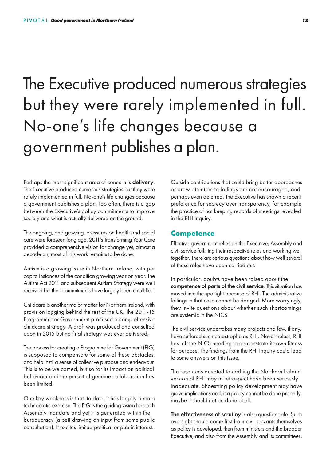## The Executive produced numerous strategies but they were rarely implemented in full. No-one's life changes because a government publishes a plan.

Perhaps the most significant area of concern is delivery. The Executive produced numerous strategies but they were rarely implemented in full. No-one's life changes because a government publishes a plan. Too often, there is a gap between the Executive's policy commitments to improve society and what is actually delivered on the ground.

The ongoing, and growing, pressures on health and social care were foreseen long ago. 2011's Transforming Your Care provided a comprehensive vision for change yet, almost a decade on, most of this work remains to be done.

Autism is a growing issue in Northern Ireland, with per capita instances of the condition growing year on year. The Autism Act 2011 and subsequent Autism Strategy were well received but their commitments have largely been unfulfilled.

Childcare is another major matter for Northern Ireland, with provision lagging behind the rest of the UK. The 2011-15 Programme for Government promised a comprehensive childcare strategy. A draft was produced and consulted upon in 2015 but no final strategy was ever delivered.

The process for creating a Programme for Government (PfG) is supposed to compensate for some of these obstacles, and help instil a sense of collective purpose and endeavour. This is to be welcomed, but so far its impact on political behaviour and the pursuit of genuine collaboration has been limited.

One key weakness is that, to date, it has largely been a technocratic exercise. The PfG is the guiding vision for each Assembly mandate and yet it is generated within the bureaucracy (albeit drawing on input from some public consultation). It excites limited political or public interest.

Outside contributions that could bring better approaches or draw attention to failings are not encouraged, and perhaps even deterred. The Executive has shown a recent preference for secrecy over transparency, for example the practice of not keeping records of meetings revealed in the RHI Inquiry.

### **Competence**

Effective government relies on the Executive, Assembly and civil service fulfilling their respective roles and working well together. There are serious questions about how well several of these roles have been carried out.

In particular, doubts have been raised about the competence of parts of the civil service. This situation has moved into the spotlight because of RHI. The administrative failings in that case cannot be dodged. More worryingly, they invite questions about whether such shortcomings are systemic in the NICS.

The civil service undertakes many projects and few, if any, have suffered such catastrophe as RHI. Nevertheless, RHI has left the NICS needing to demonstrate its own fitness for purpose. The findings from the RHI Inquiry could lead to some answers on this issue.

The resources devoted to crafting the Northern Ireland version of RHI may in retrospect have been seriously inadequate. Shoestring policy development may have grave implications and, if a policy cannot be done properly, maybe it should not be done at all.

The effectiveness of scrutiny is also questionable. Such oversight should come first from civil servants themselves as policy is developed, then from ministers and the broader Executive, and also from the Assembly and its committees.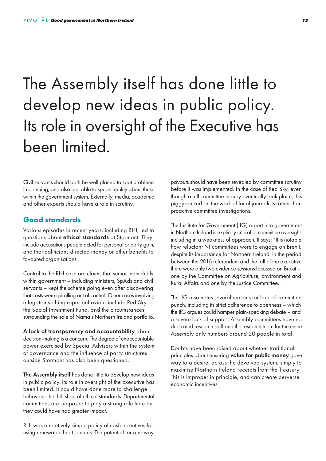## The Assembly itself has done little to develop new ideas in public policy. Its role in oversight of the Executive has been limited.

Civil servants should both be well placed to spot problems in planning, and also feel able to speak frankly about these within the government system. Externally, media, academia and other experts should have a role in scrutiny.

### **Good standards**

Various episodes in recent years, including RHI, led to questions about ethical standards at Stormont. They include accusations people acted for personal or party gain, and that politicians directed money or other benefits to favoured organisations.

Central to the RHI case are claims that senior individuals within government – including ministers, SpAds and civil servants – kept the scheme going even after discovering that costs were spiralling out of control. Other cases involving allegations of improper behaviour include Red Sky, the Social Investment Fund, and the circumstances surrounding the sale of Nama's Northern Ireland portfolio.

A lack of transparency and accountability about decision-making is a concern. The degree of unaccountable power exercised by Special Advisors within the system of governance and the influence of party structures outside Stormont has also been questioned.

The Assembly itself has done little to develop new ideas in public policy. Its role in oversight of the Executive has been limited. It could have done more to challenge behaviour that fell short of ethical standards. Departmental committees are supposed to play a strong role here but they could have had greater impact.

RHI was a relatively simple policy of cash incentives for using renewable heat sources. The potential for runaway payouts should have been revealed by committee scrutiny before it was implemented. In the case of Red Sky, even though a full committee inquiry eventually took place, this piggybacked on the work of local journalists rather than proactive committee investigations.

The Institute for Government (IfG) report into government in Northern Ireland is explicitly critical of committee oversight, including in a weakness of approach. It says: "It is notable how reluctant NI committees were to engage on Brexit, despite its importance for Northern Ireland: in the period between the 2016 referendum and the fall of the executive there were only two evidence sessions focussed on Brexit – one by the Committee on Agriculture, Environment and Rural Affairs and one by the Justice Committee."

The IfG also notes several reasons for lack of committee punch, including its strict adherence to openness – which the IfG argues could hamper plain-speaking debate – and a severe lack of support. Assembly committees have no dedicated research staff and the research team for the entire Assembly only numbers around 20 people in total.

Doubts have been raised about whether traditional principles about ensuring value for public money gave way to a desire, across the devolved system, simply to maximise Northern Ireland receipts from the Treasury. This is improper in principle, and can create perverse economic incentives.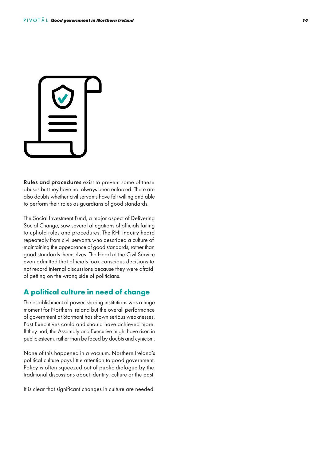

Rules and procedures exist to prevent some of these abuses but they have not always been enforced. There are also doubts whether civil servants have felt willing and able to perform their roles as guardians of good standards.

The Social Investment Fund, a major aspect of Delivering Social Change, saw several allegations of officials failing to uphold rules and procedures. The RHI inquiry heard repeatedly from civil servants who described a culture of maintaining the appearance of good standards, rather than good standards themselves. The Head of the Civil Service even admitted that officials took conscious decisions to not record internal discussions because they were afraid of getting on the wrong side of politicians.

### **A political culture in need of change**

The establishment of power-sharing institutions was a huge moment for Northern Ireland but the overall performance of government at Stormont has shown serious weaknesses. Past Executives could and should have achieved more. If they had, the Assembly and Executive might have risen in public esteem, rather than be faced by doubts and cynicism.

None of this happened in a vacuum. Northern Ireland's political culture pays little attention to good government. Policy is often squeezed out of public dialogue by the traditional discussions about identity, culture or the past.

It is clear that significant changes in culture are needed.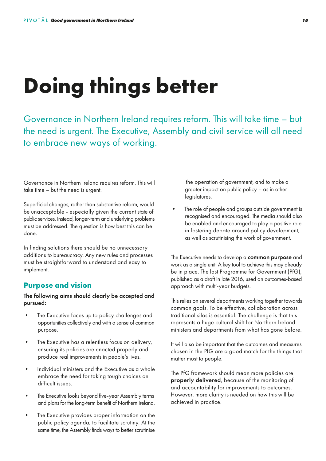# **Doing things better**

Governance in Northern Ireland requires reform. This will take time – but the need is urgent. The Executive, Assembly and civil service will all need to embrace new ways of working.

Governance in Northern Ireland requires reform. This will take time – but the need is urgent.

Superficial changes, rather than substantive reform, would be unacceptable - especially given the current state of public services. Instead, longer-term and underlying problems must be addressed. The question is how best this can be done.

In finding solutions there should be no unnecessary additions to bureaucracy. Any new rules and processes must be straightforward to understand and easy to implement.

### **Purpose and vision**

The following aims should clearly be accepted and pursued:

- The Executive faces up to policy challenges and opportunities collectively and with a sense of common purpose.
- The Executive has a relentless focus on delivery, ensuring its policies are enacted properly and produce real improvements in people's lives.
- Individual ministers and the Executive as a whole embrace the need for taking tough choices on difficult issues.
- The Executive looks beyond five-year Assembly terms and plans for the long-term benefit of Northern Ireland.
- The Executive provides proper information on the public policy agenda, to facilitate scrutiny. At the same time, the Assembly finds ways to better scrutinise

 the operation of government, and to make a greater impact on public policy – as in other legislatures.

The role of people and groups outside government is recognised and encouraged. The media should also be enabled and encouraged to play a positive role in fostering debate around policy development, as well as scrutinising the work of government.

The Executive needs to develop a common purpose and work as a single unit. A key tool to achieve this may already be in place. The last Programme for Government (PfG), published as a draft in late 2016, used an outcomes-based approach with multi-year budgets.

This relies on several departments working together towards common goals. To be effective, collaboration across traditional silos is essential. The challenge is that this represents a huge cultural shift for Northern Ireland ministers and departments from what has gone before.

It will also be important that the outcomes and measures chosen in the PfG are a good match for the things that matter most to people.

The PfG framework should mean more policies are properly delivered, because of the monitoring of and accountability for improvements to outcomes. However, more clarity is needed on how this will be achieved in practice.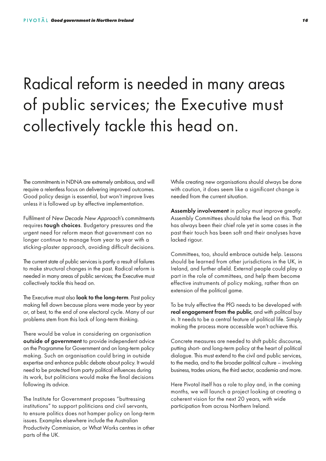## Radical reform is needed in many areas of public services; the Executive must collectively tackle this head on.

The commitments in NDNA are extremely ambitious, and will require a relentless focus on delivering improved outcomes. Good policy design is essential, but won't improve lives unless it is followed up by effective implementation.

Fulfilment of *New Decade New Approach*'s commitments requires tough choices. Budgetary pressures and the urgent need for reform mean that government can no longer continue to manage from year to year with a sticking-plaster approach, avoiding difficult decisions.

The current state of public services is partly a result of failures to make structural changes in the past. Radical reform is needed in many areas of public services; the Executive must collectively tackle this head on.

The Executive must also **look to the long-term**. Past policy making fell down because plans were made year by year or, at best, to the end of one electoral cycle. Many of our problems stem from this lack of long-term thinking.

There would be value in considering an organisation outside of government to provide independent advice on the Programme for Government and on long-term policy making. Such an organisation could bring in outside expertise and enhance public debate about policy. It would need to be protected from party political influences during its work, but politicians would make the final decisions following its advice.

The Institute for Government proposes "buttressing institutions" to support politicians and civil servants, to ensure politics does not hamper policy on long-term issues. Examples elsewhere include the Australian Productivity Commission, or What Works centres in other parts of the UK.

While creating new organisations should always be done with caution, it does seem like a significant change is needed from the current situation.

Assembly involvement in policy must improve greatly. Assembly Committees should take the lead on this. That has always been their chief role yet in some cases in the past their touch has been soft and their analyses have lacked rigour.

Committees, too, should embrace outside help. Lessons should be learned from other jurisdictions in the UK, in Ireland, and further afield. External people could play a part in the role of committees, and help them become effective instruments of policy making, rather than an extension of the political game.

To be truly effective the PfG needs to be developed with real engagement from the public, and with political buy in. It needs to be a central feature of political life. Simply making the process more accessible won't achieve this.

Concrete measures are needed to shift public discourse, putting short- and long-term policy at the heart of political dialogue. This must extend to the civil and public services, to the media, and to the broader political culture – involving business, trades unions, the third sector, academia and more.

Here Pivotal itself has a role to play and, in the coming months, we will launch a project looking at creating a coherent vision for the next 20 years, with wide participation from across Northern Ireland.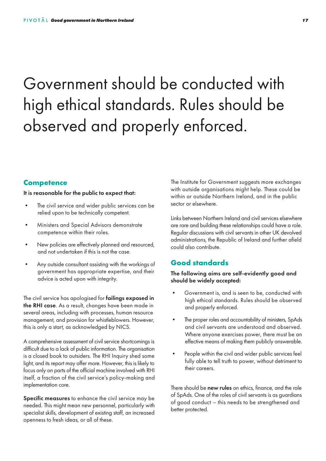## Government should be conducted with high ethical standards. Rules should be observed and properly enforced.

### **Competence**

It is reasonable for the public to expect that:

- The civil service and wider public services can be relied upon to be technically competent.
- Ministers and Special Advisors demonstrate competence within their roles.
- New policies are effectively planned and resourced, and not undertaken if this is not the case.
- Any outside consultant assisting with the workings of government has appropriate expertise, and their advice is acted upon with integrity.

The civil service has apologised for **failings exposed in** the RHI case. As a result, changes have been made in several areas, including with processes, human resource management, and provision for whistleblowers. However, this is only a start, as acknowledged by NICS.

A comprehensive assessment of civil service shortcomings is difficult due to a lack of public information. The organisation is a closed book to outsiders. The RHI Inquiry shed some light, and its report may offer more. However, this is likely to focus only on parts of the official machine involved with RHI itself, a fraction of the civil service's policy-making and implementation core.

Specific measures to enhance the civil service may be needed. This might mean new personnel, particularly with specialist skills, development of existing staff, an increased openness to fresh ideas, or all of these.

The Institute for Government suggests more exchanges with outside organisations might help. These could be within or outside Northern Ireland, and in the public sector or elsewhere.

Links between Northern Ireland and civil services elsewhere are rare and building these relationships could have a role. Regular discussions with civil servants in other UK devolved administrations, the Republic of Ireland and further afield could also contribute.

### **Good standards**

### The following aims are self-evidently good and should be widely accepted:

- Government is, and is seen to be, conducted with high ethical standards. Rules should be observed and properly enforced.
- The proper roles and accountability of ministers, SpAds and civil servants are understood and observed. Where anyone exercises power, there must be an effective means of making them publicly answerable.
- People within the civil and wider public services feel fully able to tell truth to power, without detriment to their careers.

There should be new rules on ethics, finance, and the role of SpAds. One of the roles of civil servants is as guardians of good conduct – this needs to be strengthened and better protected.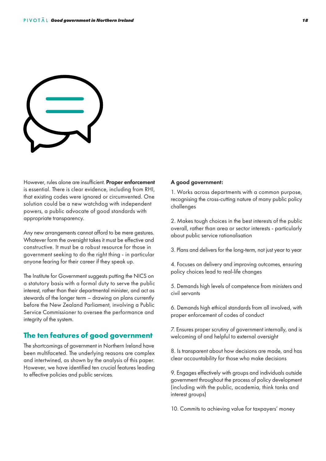

However, rules alone are insufficient. Proper enforcement is essential. There is clear evidence, including from RHI, that existing codes were ignored or circumvented. One solution could be a new watchdog with independent powers, a public advocate of good standards with appropriate transparency.

Any new arrangements cannot afford to be mere gestures. Whatever form the oversight takes it must be effective and constructive. It must be a robust resource for those in government seeking to do the right thing - in particular anyone fearing for their career if they speak up.

The Institute for Government suggests putting the NICS on a statutory basis with a formal duty to serve the public interest, rather than their departmental minister, and act as stewards of the longer term – drawing on plans currently before the New Zealand Parliament, involving a Public Service Commissioner to oversee the performance and integrity of the system.

### **The ten features of good government**

The shortcomings of government in Northern Ireland have been multifaceted. The underlying reasons are complex and intertwined, as shown by the analysis of this paper. However, we have identified ten crucial features leading to effective policies and public services.

#### A good government:

1. Works across departments with a common purpose, recognising the cross-cutting nature of many public policy challenges

2. Makes tough choices in the best interests of the public overall, rather than area or sector interests - particularly about public service rationalisation

3. Plans and delivers for the long-term, not just year to year

4. Focuses on delivery and improving outcomes, ensuring policy choices lead to real-life changes

5. Demands high levels of competence from ministers and civil servants

6. Demands high ethical standards from all involved, with proper enforcement of codes of conduct

7. Ensures proper scrutiny of government internally, and is welcoming of and helpful to external oversight

8. Is transparent about how decisions are made, and has clear accountability for those who make decisions

9. Engages effectively with groups and individuals outside government throughout the process of policy development (including with the public, academia, think tanks and interest groups)

10. Commits to achieving value for taxpayers' money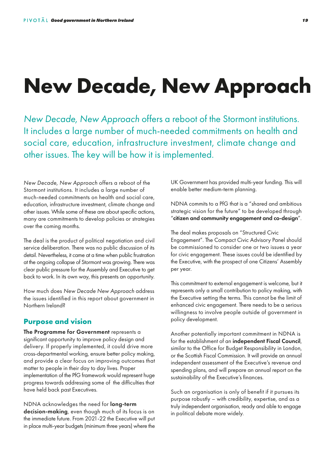# **New Decade, New Approach**

*New Decade, New Approach* offers a reboot of the Stormont institutions. It includes a large number of much-needed commitments on health and social care, education, infrastructure investment, climate change and other issues. The key will be how it is implemented.

*New Decade, New Approach* offers a reboot of the Stormont institutions. It includes a large number of much-needed commitments on health and social care, education, infrastructure investment, climate change and other issues. While some of these are about specific actions, many are commitments to develop policies or strategies over the coming months.

The deal is the product of political negotiation and civil service deliberation. There was no public discussion of its detail. Nevertheless, it came at a time when public frustration at the ongoing collapse of Stormont was growing. There was clear public pressure for the Assembly and Executive to get back to work. In its own way, this presents an opportunity.

How much does *New Decade New Approach* address the issues identified in this report about government in Northern Ireland?

### **Purpose and vision**

The Programme for Government represents a significant opportunity to improve policy design and delivery. If properly implemented, it could drive more cross-departmental working, ensure better policy making, and provide a clear focus on improving outcomes that matter to people in their day to day lives. Proper implementation of the PfG framework would represent huge progress towards addressing some of the difficulties that have held back past Executives.

NDNA acknowledges the need for long-term decision-making, even though much of its focus is on the immediate future. From 2021-22 the Executive will put in place multi-year budgets (minimum three years) where the UK Government has provided multi-year funding. This will enable better medium-term planning.

NDNA commits to a PfG that is a "shared and ambitious strategic vision for the future" to be developed through "citizen and community engagement and co-design".

The deal makes proposals on "Structured Civic Engagement". The Compact Civic Advisory Panel should be commissioned to consider one or two issues a year for civic engagement. These issues could be identified by the Executive, with the prospect of one Citizens' Assembly per year.

This commitment to external engagement is welcome, but it represents only a small contribution to policy making, with the Executive setting the terms. This cannot be the limit of enhanced civic engagement. There needs to be a serious willingness to involve people outside of government in policy development.

Another potentially important commitment in NDNA is for the establishment of an independent Fiscal Council, similar to the Office for Budget Responsibility in London, or the Scottish Fiscal Commission. It will provide an annual independent assessment of the Executive's revenue and spending plans, and will prepare an annual report on the sustainability of the Executive's finances.

Such an organisation is only of benefit if it pursues its purpose robustly – with credibility, expertise, and as a truly independent organisation, ready and able to engage in political debate more widely.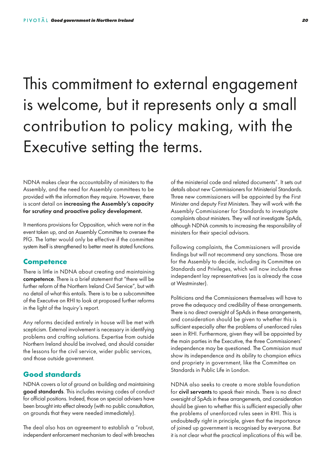## This commitment to external engagement is welcome, but it represents only a small contribution to policy making, with the Executive setting the terms.

NDNA makes clear the accountability of ministers to the Assembly, and the need for Assembly committees to be provided with the information they require. However, there is scant detail on increasing the Assembly's capacity for scrutiny and proactive policy development.

It mentions provisions for Opposition, which were not in the event taken up, and an Assembly Committee to oversee the PfG. The latter would only be effective if the committee system itself is strengthened to better meet its stated functions.

### **Competence**

There is little in NDNA about creating and maintaining competence. There is a brief statement that "there will be further reform of the Northern Ireland Civil Service", but with no detail of what this entails. There is to be a subcommittee of the Executive on RHI to look at proposed further reforms in the light of the Inquiry's report.

Any reforms decided entirely in house will be met with scepticism. External involvement is necessary in identifying problems and crafting solutions. Expertise from outside Northern Ireland should be involved, and should consider the lessons for the civil service, wider public services, and those outside government.

### **Good standards**

NDNA covers a lot of ground on building and maintaining good standards. This includes revising codes of conduct for official positions. Indeed, those on special advisers have been brought into effect already (with no public consultation, on grounds that they were needed immediately).

The deal also has an agreement to establish a "robust, independent enforcement mechanism to deal with breaches of the ministerial code and related documents". It sets out details about new Commissioners for Ministerial Standards. Three new commissioners will be appointed by the First Minister and deputy First Ministers. They will work with the Assembly Commissioner for Standards to investigate complaints about ministers. They will not investigate SpAds, although NDNA commits to increasing the responsibility of ministers for their special advisors.

Following complaints, the Commissioners will provide findings but will not recommend any sanctions. Those are for the Assembly to decide, including its Committee on Standards and Privileges, which will now include three independent lay representatives (as is already the case at Westminster).

Politicians and the Commissioners themselves will have to prove the adequacy and credibility of these arrangements. There is no direct oversight of SpAds in these arrangements, and consideration should be given to whether this is sufficient especially after the problems of unenforced rules seen in RHI. Furthermore, given they will be appointed by the main parties in the Executive, the three Commissioners' independence may be questioned. The Commission must show its independence and its ability to champion ethics and propriety in government, like the Committee on Standards in Public Life in London.

NDNA also seeks to create a more stable foundation for civil servants to speak their minds. There is no direct oversight of SpAds in these arrangements, and consideration should be given to whether this is sufficient especially after the problems of unenforced rules seen in RHI. This is undoubtedly right in principle, given that the importance of joined up government is recognised by everyone. But it is not clear what the practical implications of this will be.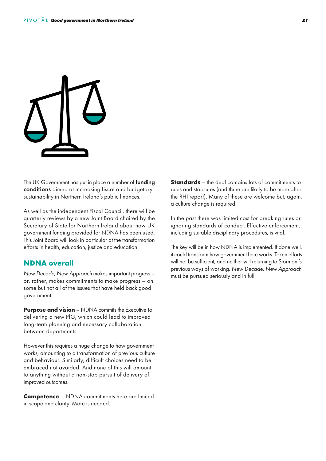

The UK Government has put in place a number of **funding** conditions aimed at increasing fiscal and budgetary sustainability in Northern Ireland's public finances.

As well as the independent Fiscal Council, there will be quarterly reviews by a new Joint Board chaired by the Secretary of State for Northern Ireland about how UK government funding provided for NDNA has been used. This Joint Board will look in particular at the transformation efforts in health, education, justice and education.

### **NDNA overall**

*New Decade, New Approach* makes important progress – or, rather, makes commitments to make progress – on some but not all of the issues that have held back good government.

**Purpose and vision** – NDNA commits the Executive to delivering a new PfG, which could lead to improved long-term planning and necessary collaboration between departments.

However this requires a huge change to how government works, amounting to a transformation of previous culture and behaviour. Similarly, difficult choices need to be embraced not avoided. And none of this will amount to anything without a non-stop pursuit of delivery of improved outcomes.

**Competence** – NDNA commitments here are limited in scope and clarity. More is needed.

**Standards** – the deal contains lots of commitments to rules and structures (and there are likely to be more after the RHI report). Many of these are welcome but, again, a culture change is required.

In the past there was limited cost for breaking rules or ignoring standards of conduct. Effective enforcement, including suitable disciplinary procedures, is vital.

The key will be in how NDNA is implemented. If done well, it could transform how government here works. Token efforts will not be sufficient, and neither will returning to Stormont's previous ways of working. *New Decade, New Approach* must be pursued seriously and in full.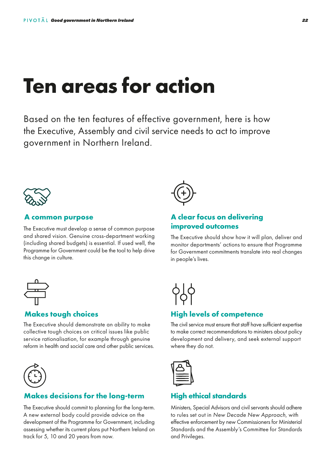# **Ten areas for action**

Based on the ten features of effective government, here is how the Executive, Assembly and civil service needs to act to improve government in Northern Ireland.



### **A common purpose**

The Executive must develop a sense of common purpose and shared vision. Genuine cross-department working (including shared budgets) is essential. If used well, the Programme for Government could be the tool to help drive this change in culture.



### **Makes tough choices**

The Executive should demonstrate an ability to make collective tough choices on critical issues like public service rationalisation, for example through genuine reform in health and social care and other public services.



### **Makes decisions for the long-term**

The Executive should commit to planning for the long-term. A new external body could provide advice on the development of the Programme for Government, including assessing whether its current plans put Northern Ireland on track for 5, 10 and 20 years from now.



### **A clear focus on delivering improved outcomes**

The Executive should show how it will plan, deliver and monitor departments' actions to ensure that Programme for Government commitments translate into real changes in people's lives.



### **High levels of competence**

The civil service must ensure that staff have sufficient expertise to make correct recommendations to ministers about policy development and delivery, and seek external support where they do not.



### **High ethical standards**

Ministers, Special Advisors and civil servants should adhere to rules set out in *New Decade New Approach*, with effective enforcement by new Commissioners for Ministerial Standards and the Assembly's Committee for Standards and Privileges.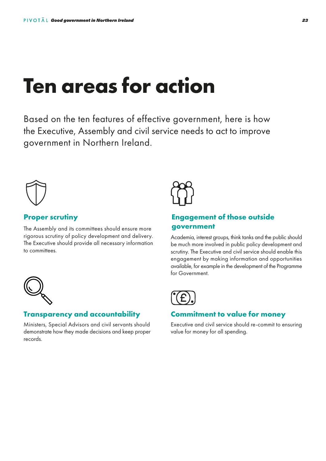# **Ten areas for action**

Based on the ten features of effective government, here is how the Executive, Assembly and civil service needs to act to improve government in Northern Ireland.



### **Proper scrutiny**

The Assembly and its committees should ensure more rigorous scrutiny of policy development and delivery. The Executive should provide all necessary information to committees.



### **Transparency and accountability**

Ministers, Special Advisors and civil servants should demonstrate how they made decisions and keep proper records.



### **Engagement of those outside government**

Academia, interest groups, think tanks and the public should be much more involved in public policy development and scrutiny. The Executive and civil service should enable this engagement by making information and opportunities available, for example in the development of the Programme for Government.



### **Commitment to value for money**

Executive and civil service should re-commit to ensuring value for money for all spending.